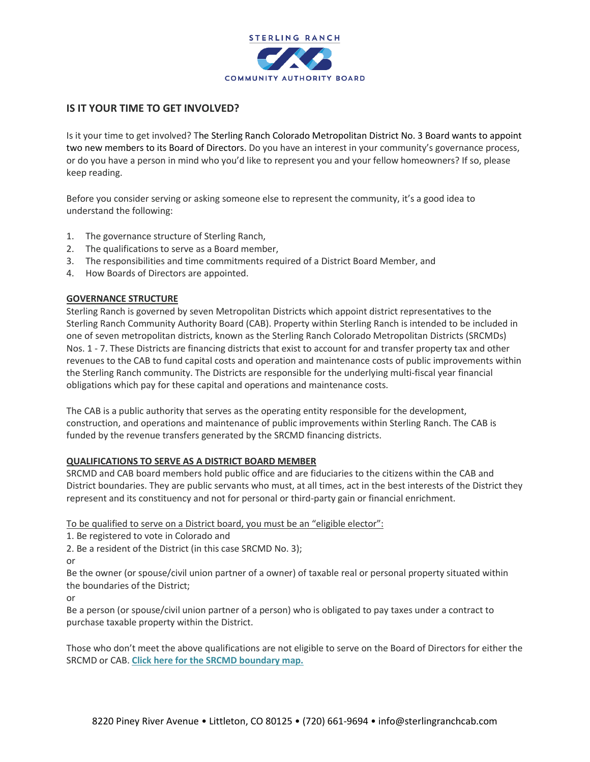

# **IS IT YOUR TIME TO GET INVOLVED?**

Is it your time to get involved? The Sterling Ranch Colorado Metropolitan District No. 3 Board wants to appoint two new members to its Board of Directors. Do you have an interest in your community's governance process, or do you have a person in mind who you'd like to represent you and your fellow homeowners? If so, please keep reading.

Before you consider serving or asking someone else to represent the community, it's a good idea to understand the following:

- 1. The governance structure of Sterling Ranch,
- 2. The qualifications to serve as a Board member,
- 3. The responsibilities and time commitments required of a District Board Member, and
- 4. How Boards of Directors are appointed.

# **GOVERNANCE STRUCTURE**

Sterling Ranch is governed by seven Metropolitan Districts which appoint district representatives to the Sterling Ranch Community Authority Board (CAB). Property within Sterling Ranch is intended to be included in one of seven metropolitan districts, known as the Sterling Ranch Colorado Metropolitan Districts (SRCMDs) Nos. 1 - 7. These Districts are financing districts that exist to account for and transfer property tax and other revenues to the CAB to fund capital costs and operation and maintenance costs of public improvements within the Sterling Ranch community. The Districts are responsible for the underlying multi-fiscal year financial obligations which pay for these capital and operations and maintenance costs.

The CAB is a public authority that serves as the operating entity responsible for the development, construction, and operations and maintenance of public improvements within Sterling Ranch. The CAB is funded by the revenue transfers generated by the SRCMD financing districts.

### **QUALIFICATIONS TO SERVE AS A DISTRICT BOARD MEMBER**

SRCMD and CAB board members hold public office and are fiduciaries to the citizens within the CAB and District boundaries. They are public servants who must, at all times, act in the best interests of the District they represent and its constituency and not for personal or third-party gain or financial enrichment.

To be qualified to serve on a District board, you must be an "eligible elector":

1. Be registered to vote in Colorado and

2. Be a resident of the District (in this case SRCMD No. 3);

or

Be the owner (or spouse/civil union partner of a owner) of taxable real or personal property situated within the boundaries of the District;

or

Be a person (or spouse/civil union partner of a person) who is obligated to pay taxes under a contract to purchase taxable property within the District.

Those who don't meet the above qualifications are not eligible to serve on the Board of Directors for either the SRCMD or CAB. **Click here for the SRCMD boundary map.**